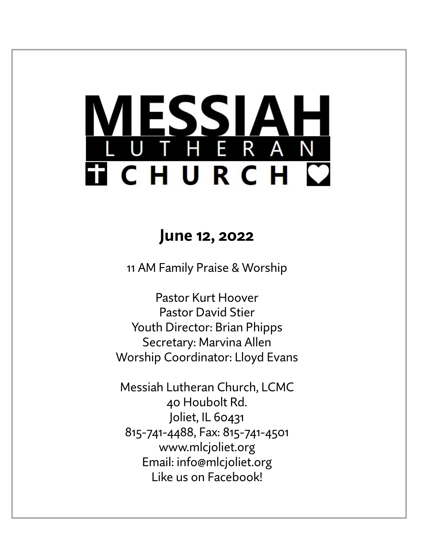# LESSIAH<br>UTHERAN **TICHURCH C**

# **June 12, 2022**

11 AM Family Praise & Worship

Pastor Kurt Hoover Pastor David Stier Youth Director: Brian Phipps Secretary: Marvina Allen Worship Coordinator: Lloyd Evans

Messiah Lutheran Church, LCMC 40 Houbolt Rd. Joliet, IL 60431 815-741-4488, Fax: 815-741-4501 www.mlcjoliet.org Email: info@mlcjoliet.org Like us on Facebook!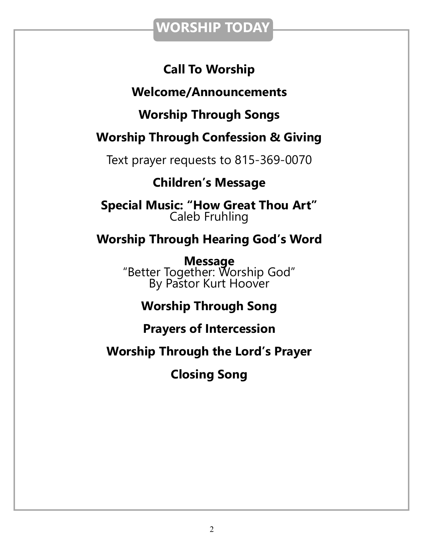## **WORSHIP TODAY**

## **Call To Worship**

## **Welcome/Announcements**

## **Worship Through Songs**

## **Worship Through Confession & Giving**

Text prayer requests to 815-369-0070

## **Children's Message**

**Special Music: "How Great Thou Art"** Caleb Fruhling

## **Worship Through Hearing God's Word**

**Message** "Better Together: Worship God" By Pastor Kurt Hoover

## **Worship Through Song**

## **Prayers of Intercession**

## **Worship Through the Lord's Prayer**

**Closing Song**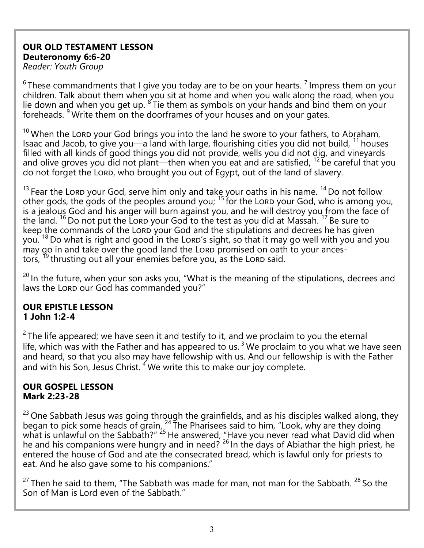#### **OUR OLD TESTAMENT LESSON Deuteronomy 6:6-20**

*Reader: Youth Group*

 $6$ These commandments that I give you today are to be on your hearts.  $7$  Impress them on your children. Talk about them when you sit at home and when you walk along the road, when you lie down and when you get up.  $\mathrm{K}^3$ Tie them as symbols on your hands and bind them on your foreheads. <sup>9</sup> Write them on the doorframes of your houses and on your gates.

 $10$  When the Lord your God brings you into the land he swore to your fathers, to Abraham, Isaac and Jacob, to give you—a land with large, flourishing cities you did not build, <sup>11</sup> houses filled with all kinds of good things you did not provide, wells you did not dig, and vineyards and olive groves you did not plant—then when you eat and are satisfied,  $^{12}$  be careful that you do not forget the LORD, who brought you out of Egypt, out of the land of slavery.

 $13$  Fear the Lord your God, serve him only and take your oaths in his name.  $14$  Do not follow other gods, the gods of the peoples around you;  $15$  for the Lord your God, who is among you, is a jealous God and his anger will burn against you, and he will destroy you from the face of the land. <sup>16</sup> Do not put the Lord your God to the test as you did at Massah. <sup>17</sup> Be sure to keep the commands of the LORD your God and the stipulations and decrees he has given you.  $18$  Do what is right and good in the Lord's sight, so that it may go well with you and you may go in and take over the good land the Lord promised on oath to your ancestors,  $^{19}$  thrusting out all your enemies before you, as the Lord said.

 $20$  In the future, when your son asks you, "What is the meaning of the stipulations, decrees and laws the LORD our God has commanded you?"

#### **OUR EPISTLE LESSON 1 John 1:2-4**

 $2$  The life appeared; we have seen it and testify to it, and we proclaim to you the eternal life, which was with the Father and has appeared to us.<sup>3</sup> We proclaim to you what we have seen and heard, so that you also may have fellowship with us. And our fellowship is with the Father and with his Son, Jesus Christ.  $4$  We write this to make our joy complete.

#### **OUR GOSPEL LESSON Mark 2:23-28**

<sup>23</sup> One Sabbath Jesus was going through the grainfields, and as his disciples walked along, they began to pick some heads of grain.  $24$  The Pharisees said to him, "Look, why are they doing what is unlawful on the Sabbath?" <sup>25</sup> He answered, "Have you never read what David did when he and his companions were hungry and in need?  $26$  In the days of Abiathar the high priest, he entered the house of God and ate the consecrated bread, which is lawful only for priests to eat. And he also gave some to his companions."

 $27$  Then he said to them, "The Sabbath was made for man, not man for the Sabbath.  $28$  So the Son of Man is Lord even of the Sabbath."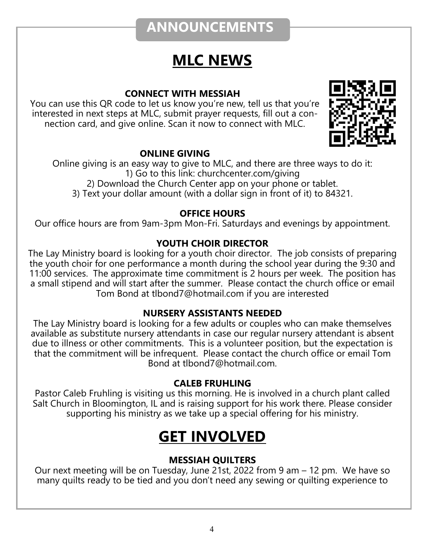# **ANNOUNCEMENTS**

# **MLC NEWS**

#### **CONNECT WITH MESSIAH**

You can use this QR code to let us know you're new, tell us that you're interested in next steps at MLC, submit prayer requests, fill out a connection card, and give online. Scan it now to connect with MLC.



#### **ONLINE GIVING**

Online giving is an easy way to give to MLC, and there are three ways to do it: 1) Go to this link: churchcenter.com/giving 2) Download the Church Center app on your phone or tablet.

3) Text your dollar amount (with a dollar sign in front of it) to 84321.

#### **OFFICE HOURS**

Our office hours are from 9am-3pm Mon-Fri. Saturdays and evenings by appointment.

#### **YOUTH CHOIR DIRECTOR**

The Lay Ministry board is looking for a youth choir director. The job consists of preparing the youth choir for one performance a month during the school year during the 9:30 and 11:00 services. The approximate time commitment is 2 hours per week. The position has a small stipend and will start after the summer. Please contact the church office or email Tom Bond at tlbond7@hotmail.com if you are interested

#### **NURSERY ASSISTANTS NEEDED**

The Lay Ministry board is looking for a few adults or couples who can make themselves available as substitute nursery attendants in case our regular nursery attendant is absent due to illness or other commitments. This is a volunteer position, but the expectation is that the commitment will be infrequent. Please contact the church office or email Tom Bond at tlbond7@hotmail.com.

#### **CALEB FRUHLING**

Pastor Caleb Fruhling is visiting us this morning. He is involved in a church plant called Salt Church in Bloomington, IL and is raising support for his work there. Please consider supporting his ministry as we take up a special offering for his ministry.

# **GET INVOLVED**

#### **MESSIAH QUILTERS**

Our next meeting will be on Tuesday, June 21st, 2022 from 9 am – 12 pm. We have so many quilts ready to be tied and you don't need any sewing or quilting experience to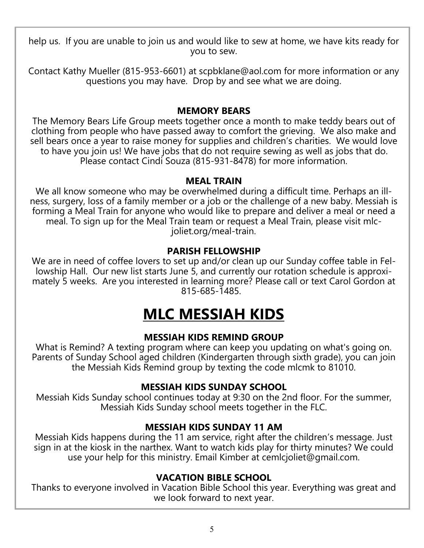help us. If you are unable to join us and would like to sew at home, we have kits ready for you to sew.

Contact Kathy Mueller (815-953-6601) at scpbklane@aol.com for more information or any questions you may have. Drop by and see what we are doing.

#### **MEMORY BEARS**

The Memory Bears Life Group meets together once a month to make teddy bears out of clothing from people who have passed away to comfort the grieving. We also make and sell bears once a year to raise money for supplies and children's charities. We would love to have you join us! We have jobs that do not require sewing as well as jobs that do. Please contact Cindi Souza (815-931-8478) for more information.

#### **MEAL TRAIN**

We all know someone who may be overwhelmed during a difficult time. Perhaps an illness, surgery, loss of a family member or a job or the challenge of a new baby. Messiah is forming a Meal Train for anyone who would like to prepare and deliver a meal or need a meal. To sign up for the Meal Train team or request a Meal Train, please visit mlcjoliet.org/meal-train.

#### **PARISH FELLOWSHIP**

We are in need of coffee lovers to set up and/or clean up our Sunday coffee table in Fellowship Hall. Our new list starts June 5, and currently our rotation schedule is approximately 5 weeks. Are you interested in learning more? Please call or text Carol Gordon at 815-685-1485.

# **MLC MESSIAH KIDS**

#### **MESSIAH KIDS REMIND GROUP**

What is Remind? A texting program where can keep you updating on what's going on. Parents of Sunday School aged children (Kindergarten through sixth grade), you can join the Messiah Kids Remind group by texting the code mlcmk to 81010.

#### **MESSIAH KIDS SUNDAY SCHOOL**

Messiah Kids Sunday school continues today at 9:30 on the 2nd floor. For the summer, Messiah Kids Sunday school meets together in the FLC.

#### **MESSIAH KIDS SUNDAY 11 AM**

Messiah Kids happens during the 11 am service, right after the children's message. Just sign in at the kiosk in the narthex. Want to watch kids play for thirty minutes? We could use your help for this ministry. Email Kimber at cemlcjoliet@gmail.com.

#### **VACATION BIBLE SCHOOL**

Thanks to everyone involved in Vacation Bible School this year. Everything was great and we look forward to next year.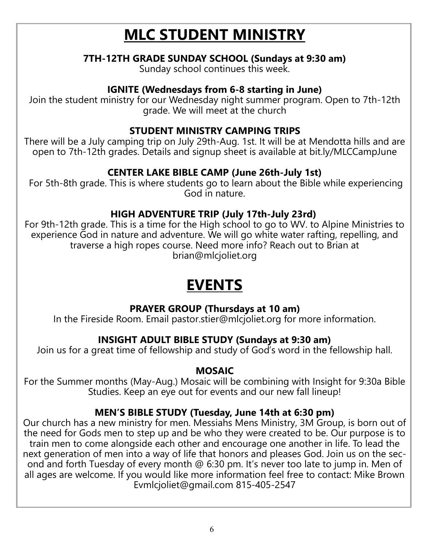# **MLC STUDENT MINISTRY**

#### **7TH-12TH GRADE SUNDAY SCHOOL (Sundays at 9:30 am)**

Sunday school continues this week.

#### **IGNITE (Wednesdays from 6-8 starting in June)**

Join the student ministry for our Wednesday night summer program. Open to 7th-12th grade. We will meet at the church

#### **STUDENT MINISTRY CAMPING TRIPS**

There will be a July camping trip on July 29th-Aug. 1st. It will be at Mendotta hills and are open to 7th-12th grades. Details and signup sheet is available at bit.ly/MLCCampJune

#### **CENTER LAKE BIBLE CAMP (June 26th-July 1st)**

For 5th-8th grade. This is where students go to learn about the Bible while experiencing God in nature.

#### **HIGH ADVENTURE TRIP (July 17th-July 23rd)**

For 9th-12th grade. This is a time for the High school to go to WV. to Alpine Ministries to experience God in nature and adventure. We will go white water rafting, repelling, and traverse a high ropes course. Need more info? Reach out to Brian at brian@mlcjoliet.org

# **EVENTS**

#### **PRAYER GROUP (Thursdays at 10 am)**

In the Fireside Room. Email pastor.stier@mlcjoliet.org for more information.

#### **INSIGHT ADULT BIBLE STUDY (Sundays at 9:30 am)**

Join us for a great time of fellowship and study of God's word in the fellowship hall.

#### **MOSAIC**

For the Summer months (May-Aug.) Mosaic will be combining with Insight for 9:30a Bible Studies. Keep an eye out for events and our new fall lineup!

#### **MEN'S BIBLE STUDY (Tuesday, June 14th at 6:30 pm)**

Our church has a new ministry for men. Messiahs Mens Ministry, 3M Group, is born out of the need for Gods men to step up and be who they were created to be. Our purpose is to train men to come alongside each other and encourage one another in life. To lead the next generation of men into a way of life that honors and pleases God. Join us on the second and forth Tuesday of every month @ 6:30 pm. It's never too late to jump in. Men of all ages are welcome. If you would like more information feel free to contact: Mike Brown Evmlcjoliet@gmail.com 815-405-2547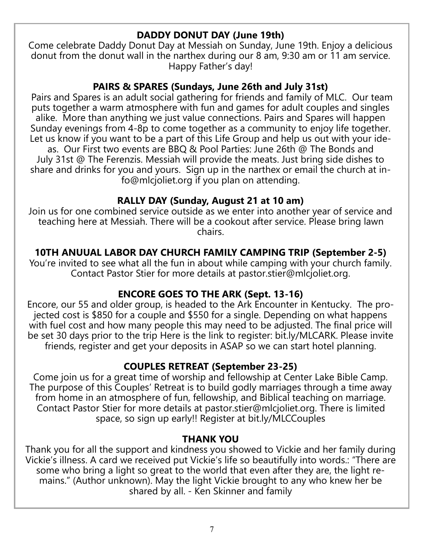#### **DADDY DONUT DAY (June 19th)**

Come celebrate Daddy Donut Day at Messiah on Sunday, June 19th. Enjoy a delicious donut from the donut wall in the narthex during our 8 am, 9:30 am or 11 am service. Happy Father's day!

#### **PAIRS & SPARES (Sundays, June 26th and July 31st)**

Pairs and Spares is an adult social gathering for friends and family of MLC. Our team puts together a warm atmosphere with fun and games for adult couples and singles alike. More than anything we just value connections. Pairs and Spares will happen Sunday evenings from 4-8p to come together as a community to enjoy life together. Let us know if you want to be a part of this Life Group and help us out with your ideas. Our First two events are BBQ & Pool Parties: June 26th @ The Bonds and July 31st @ The Ferenzis. Messiah will provide the meats. Just bring side dishes to share and drinks for you and yours. Sign up in the narthex or email the church at info@mlcjoliet.org if you plan on attending.

#### **RALLY DAY (Sunday, August 21 at 10 am)**

Join us for one combined service outside as we enter into another year of service and teaching here at Messiah. There will be a cookout after service. Please bring lawn chairs.

#### **10TH ANUUAL LABOR DAY CHURCH FAMILY CAMPING TRIP (September 2-5)**

You're invited to see what all the fun in about while camping with your church family. Contact Pastor Stier for more details at pastor.stier@mlcjoliet.org.

#### **ENCORE GOES TO THE ARK (Sept. 13-16)**

Encore, our 55 and older group, is headed to the Ark Encounter in Kentucky. The projected cost is \$850 for a couple and \$550 for a single. Depending on what happens with fuel cost and how many people this may need to be adjusted. The final price will be set 30 days prior to the trip Here is the link to register: bit.ly/MLCARK. Please invite friends, register and get your deposits in ASAP so we can start hotel planning.

#### **COUPLES RETREAT (September 23-25)**

Come join us for a great time of worship and fellowship at Center Lake Bible Camp. The purpose of this Couples' Retreat is to build godly marriages through a time away from home in an atmosphere of fun, fellowship, and Biblical teaching on marriage. Contact Pastor Stier for more details at pastor.stier@mlcjoliet.org. There is limited space, so sign up early!! Register at bit.ly/MLCCouples

#### **THANK YOU**

Thank you for all the support and kindness you showed to Vickie and her family during Vickie's illness. A card we received put Vickie's life so beautifully into words.: "There are some who bring a light so great to the world that even after they are, the light remains." (Author unknown). May the light Vickie brought to any who knew her be shared by all. - Ken Skinner and family